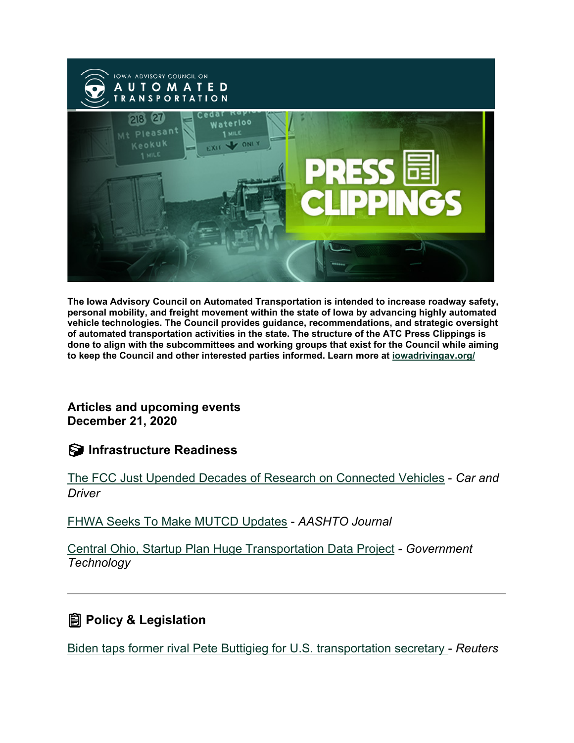

**The Iowa Advisory Council on Automated Transportation is intended to increase roadway safety, personal mobility, and freight movement within the state of Iowa by advancing highly automated vehicle technologies. The Council provides guidance, recommendations, and strategic oversight of automated transportation activities in the state. The structure of the ATC Press Clippings is done to align with the subcommittees and working groups that exist for the Council while aiming to keep the Council and other interested parties informed. Learn more at [iowadrivingav.org/](https://iowadrivingav.org/?utm_medium=email&utm_source=govdelivery)**

**Articles and upcoming events December 21, 2020**

**S** Infrastructure Readiness

[The FCC Just Upended Decades of Research on Connected Vehicles](https://www.caranddriver.com/news/a34963287/fcc-connected-cars-regulations-change-revealed/?utm_medium=email&utm_source=govdelivery) - *Car and Driver*

[FHWA Seeks To Make MUTCD Updates](https://aashtojournal.org/2020/12/11/fhwa-seeks-to-make-mutcd-updates/?utm_medium=email&utm_source=govdelivery) - *AASHTO Journal*

[Central Ohio, Startup Plan Huge Transportation Data Project](https://www.govtech.com/biz/Central-Ohio-Startup-Plan-Huge-Transportation-Data-Project.html?utm_medium=email&utm_source=govdelivery) *- Government Technology*

### **Policy & Legislation**

[Biden taps former rival Pete Buttigieg for U.S. transportation secretary](https://www.reuters.com/article/us-usa-biden-buttigieg/biden-taps-former-rival-pete-buttigieg-for-us-transportation-secretary-sources-idUSKBN28P2KK?utm_medium=email&utm_source=govdelivery) - *Reuters*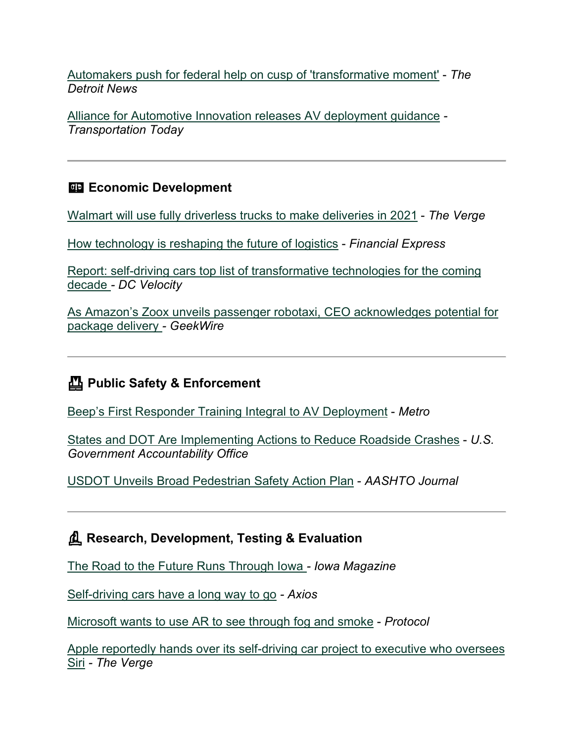[Automakers push for federal help on cusp of 'transformative moment'](https://www.detroitnews.com/story/business/autos/2020/12/15/automakers-push-ev-help-ahead-transformative-moment/6548740002/?utm_medium=email&utm_source=govdelivery) - *The Detroit News*

[Alliance for Automotive Innovation releases AV deployment guidance](https://transportationtodaynews.com/news/20619-alliance-for-automotive-innovation-releases-av-deployment-guidance/?utm_medium=email&utm_source=govdelivery) *- Transportation Today*

#### **Example 2** Economic Development

[Walmart will use fully driverless trucks to make deliveries in 2021](https://www.theverge.com/2020/12/15/22176179/walmart-fully-driverless-box-truck-delivery-gatik?utm_medium=email&utm_source=govdelivery) - *The Verge*

[How technology is reshaping the future of logistics](https://www.financialexpress.com/industry/technology/how-technology-is-reshaping-the-future-of-logistics/2147362/?utm_medium=email&utm_source=govdelivery) - *Financial Express*

[Report: self-driving cars top list of transformative technologies for the coming](https://www.dcvelocity.com/articles/48272-report-self-driving-cars-top-list-of-transformative-technologies-for-the-coming-decade?utm_medium=email&utm_source=govdelivery)  [decade](https://www.dcvelocity.com/articles/48272-report-self-driving-cars-top-list-of-transformative-technologies-for-the-coming-decade?utm_medium=email&utm_source=govdelivery) *- DC Velocity*

[As Amazon's Zoox unveils passenger robotaxi, CEO acknowledges potential for](https://www.geekwire.com/2020/amazons-zoox-robotaxi-will-top-75-mph-ceo-acknowledges-future-potential-package-delivery/?utm_medium=email&utm_source=govdelivery)  [package delivery](https://www.geekwire.com/2020/amazons-zoox-robotaxi-will-top-75-mph-ceo-acknowledges-future-potential-package-delivery/?utm_medium=email&utm_source=govdelivery) *- GeekWire*

### **Public Safety & Enforcement**

[Beep's First Responder Training Integral to AV Deployment](https://www.metro-magazine.com/10132385/beeps-first-responder-training-integral-to-av-deployment?utm_medium=email&utm_source=govdelivery) - *Metro*

[States and DOT Are Implementing Actions to Reduce Roadside Crashes](https://www.gao.gov/products/GAO-21-166?utm_campaign=usgao_email&utm_content=topic_transportation&utm_medium=email&utm_source=govdelivery) - *U.S. Government Accountability Office*

[USDOT Unveils Broad Pedestrian Safety Action Plan](https://aashtojournal.org/2020/12/04/usdot-unveils-broad-pedestrian-safety-action-plan/?utm_medium=email&utm_source=govdelivery) - *AASHTO Journal*

#### **Research, Development, Testing & Evaluation**

[The Road to the Future Runs Through Iowa](https://magazine.foriowa.org/story.php?ed=true&storyid=2029&utm_medium=email&utm_source=govdelivery) *- Iowa Magazine*

[Self-driving cars have a long way to go](https://www.axios.com/self-driving-cars-uber-cruise-a013d2bf-8b7c-4ea9-a229-110312c23acc.html?utm_medium=email&utm_source=govdelivery) *- Axios*

[Microsoft wants to use AR to see through fog and smoke](https://www.protocol.com/microsoft-augmented-reality-patent?utm_medium=email&utm_source=govdelivery) - *Protocol*

[Apple reportedly hands over its self-driving car project to executive who oversees](https://www.theverge.com/2020/12/8/22163939/apple-self-driving-car-john-giannandrea-ai-siri?utm_medium=email&utm_source=govdelivery)  [Siri](https://www.theverge.com/2020/12/8/22163939/apple-self-driving-car-john-giannandrea-ai-siri?utm_medium=email&utm_source=govdelivery) *- The Verge*